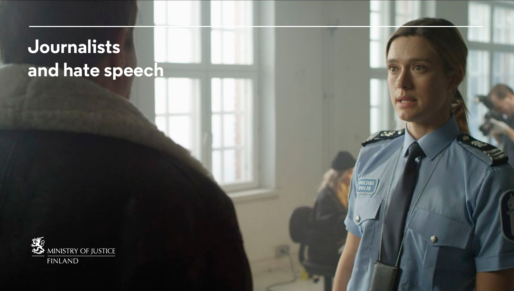# **Journalists and hate speech**

**ATC** 

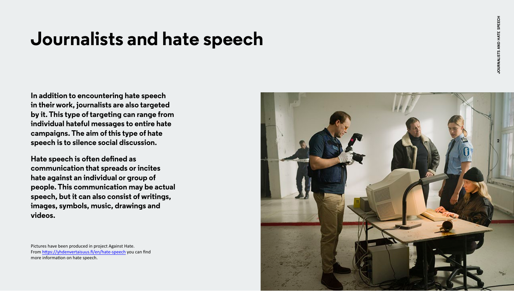## **Journalists and hate speech**

**In addition to encountering hate speech in their work, journalists are also targeted by it. This type of targeting can range from individual hateful messages to entire hate campaigns. The aim of this type of hate speech is to silence social discussion.** 

**Hate speech is often defined as communication that spreads or incites hate against an individual or group of people. This communication may be actual speech, but it can also consist of writings, images, symbols, music, drawings and videos.**

Pictures have been produced in project Against Hate. From [https://yhdenvertaisuus.fi/en/hate-speech](www.yhdenvertaisuus.fi/en/hate-speech) you can find more information on hate speech.

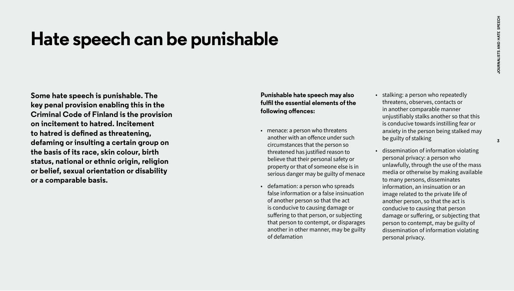### **Hate speech can be punishable**

**Some hate speech is punishable. The key penal provision enabling this in the Criminal Code of Finland is the provision on incitement to hatred. Incitement to hatred is defined as threatening, defaming or insulting a certain group on the basis of its race, skin colour, birth status, national or ethnic origin, religion or belief, sexual orientation or disability or a comparable basis.** 

#### **Punishable hate speech may also fulfil the essential elements of the following offences:**

- menace: a person who threatens another with an offence under such circumstances that the person so threatened has justified reason to believe that their personal safety or property or that of someone else is in serious danger may be guilty of menace
- defamation: a person who spreads false information or a false insinuation of another person so that the act is conducive to causing damage or suffering to that person, or subjecting that person to contempt, or disparages another in other manner, may be guilty of defamation
- stalking: a person who repeatedly threatens, observes, contacts or in another comparable manner unjustifiably stalks another so that this is conducive towards instilling fear or anxiety in the person being stalked may be guilty of stalking
- dissemination of information violating personal privacy: a person who unlawfully, through the use of the mass media or otherwise by making available to many persons, disseminates information, an insinuation or an image related to the private life of another person, so that the act is conducive to causing that person damage or suffering, or subjecting that person to contempt, may be guilty of dissemination of information violating personal privacy.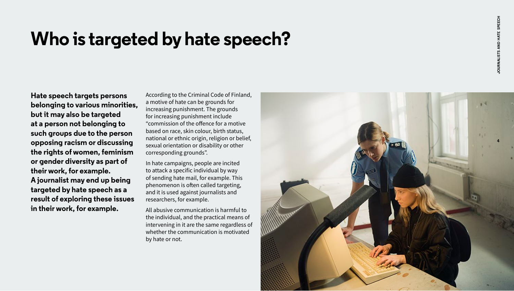## **Who is targeted by hate speech?**

**Hate speech targets persons belonging to various minorities, but it may also be targeted at a person not belonging to such groups due to the person opposing racism or discussing the rights of women, feminism or gender diversity as part of their work, for example. A journalist may end up being targeted by hate speech as a result of exploring these issues in their work, for example.** 

According to the Criminal Code of Finland, a motive of hate can be grounds for increasing punishment. The grounds for increasing punishment include "commission of the offence for a motive based on race, skin colour, birth status, national or ethnic origin, religion or belief, sexual orientation or disability or other corresponding grounds".

In hate campaigns, people are incited to attack a specific individual by way of sending hate mail, for example. This phenomenon is often called targeting, and it is used against journalists and researchers, for example.

All abusive communication is harmful to the individual, and the practical means of intervening in it are the same regardless of whether the communication is motivated by hate or not.

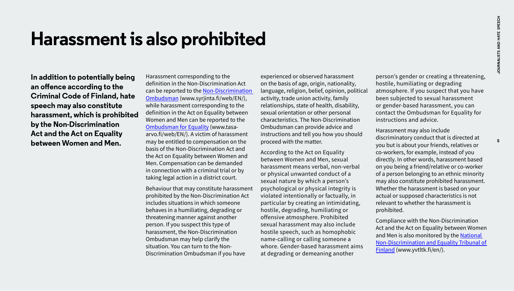### **Harassment is also prohibited**

**In addition to potentially being an offence according to the Criminal Code of Finland, hate speech may also constitute harassment, which is prohibited by the Non-Discrimination Act and the Act on Equality between Women and Men.** 

Harassment corresponding to the definition in the Non-Discrimination Act can be reported to the [Non-Discrimination](www.syrjinta.fi/web/en)  [Ombudsman](www.syrjinta.fi/web/en) (www.syrjinta.fi/web/EN/), while harassment corresponding to the definition in the Act on Equality between Women and Men can be reported to the [Ombudsman for Equality](http://www.tasa-arvo.fi/web/EN) (www.tasaarvo.fi/web/EN/). A victim of harassment may be entitled to compensation on the basis of the Non-Discrimination Act and the Act on Equality between Women and Men. Compensation can be demanded in connection with a criminal trial or by taking legal action in a district court.

Behaviour that may constitute harassment prohibited by the Non-Discrimination Act includes situations in which someone behaves in a humiliating, degrading or threatening manner against another person. If you suspect this type of harassment, the Non-Discrimination Ombudsman may help clarify the situation. You can turn to the Non-Discrimination Ombudsman if you have

experienced or observed harassment on the basis of age, origin, nationality, language, religion, belief, opinion, political activity, trade union activity, family relationships, state of health, disability, sexual orientation or other personal characteristics. The Non-Discrimination Ombudsman can provide advice and instructions and tell you how you should proceed with the matter.

According to the Act on Equality between Women and Men, sexual harassment means verbal, non-verbal or physical unwanted conduct of a sexual nature by which a person's psychological or physical integrity is violated intentionally or factually, in particular by creating an intimidating, hostile, degrading, humiliating or offensive atmosphere. Prohibited sexual harassment may also include hostile speech, such as homophobic name-calling or calling someone a whore. Gender-based harassment aims at degrading or demeaning another

person's gender or creating a threatening, hostile, humiliating or degrading atmosphere. If you suspect that you have been subjected to sexual harassment or gender-based harassment, you can contact the Ombudsman for Equality for instructions and advice.

Harassment may also include discriminatory conduct that is directed at you but is about your friends, relatives or co-workers, for example, instead of you directly. In other words, harassment based on you being a friend/relative or co-worker of a person belonging to an ethnic minority may also constitute prohibited harassment. Whether the harassment is based on your actual or supposed characteristics is not relevant to whether the harassment is prohibited.

Compliance with the Non-Discrimination Act and the Act on Equality between Women and Men is also monitored by the National [Non-Discrimination and Equality Tribunal of](www.yvtltk.fi/en)  Finland (www.yvtltk.fi/en/).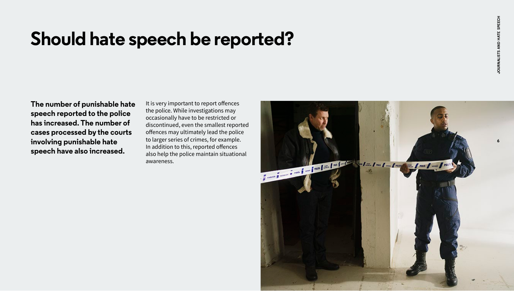## **Should hate speech be reported?**

**The number of punishable hate speech reported to the police has increased. The number of cases processed by the courts involving punishable hate speech have also increased.** 

It is very important to report offences the police. While investigations may occasionally have to be restricted or discontinued, even the smallest reported offences may ultimately lead the police to larger series of crimes, for example. In addition to this, reported offences also help the police maintain situational awareness.

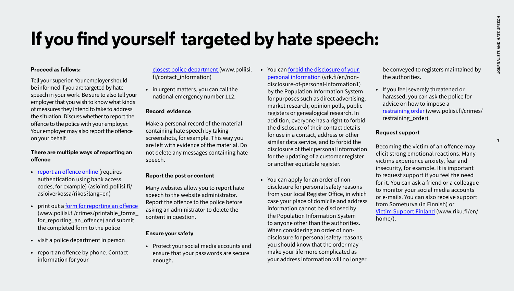## **If you find yourself targeted by hate speech:**

#### **Proceed as follows:**

Tell your superior. Your employer should be informed if you are targeted by hate speech in your work. Be sure to also tell your employer that you wish to know what kinds of measures they intend to take to address the situation. Discuss whether to report the offence to the police with your employer. Your employer may also report the offence on your behalf.

#### **There are multiple ways of reporting an offence**

- **•** [report an offence online \(](https://asiointi.poliisi.fi/asioiverkossa/rikos?lang=en)requires authentication using bank access codes, for example) (asiointi.poliisi.fi/ asioiverkossa/rikos?lang=en)
- **•** print out a [form for reporting an offence](www.poliisi.fi/crimes/printable_forms_for_reporting_an_offence)  (www.poliisi.fi/crimes/printable\_forms\_ for reporting an offence) and submit the completed form to the police
- **•** visit a police department in person
- **•** report an offence by phone. Contact information for your

[closest police department](www.poliisi.fi/contact_information) (www.poliisi. fi/contact\_information)

**•** in urgent matters, you can call the national emergency number 112.

#### **Record evidence**

Make a personal record of the material containing hate speech by taking screenshots, for example. This way you are left with evidence of the material. Do not delete any messages containing hate speech.

#### **Report the post or content**

Many websites allow you to report hate speech to the website administrator. Report the offence to the police before asking an administrator to delete the content in question.

#### **Ensure your safety**

**•** Protect your social media accounts and ensure that your passwords are secure enough.

- **•** You can forbid the di[sclosure of your](www.vrk.fi/en/non-disclosure-of-personal-information1)  [personal information](www.vrk.fi/en/non-disclosure-of-personal-information1) (vrk.fi/en/nondisclosure-of-personal-information1) by the Population Information System for purposes such as direct advertising, market research, opinion polls, public registers or genealogical research. In addition, everyone has a right to forbid the disclosure of their contact details for use in a contact, address or other similar data service, and to forbid the disclosure of their personal information for the updating of a customer register or another equitable register.
- **•** You can apply for an order of nondisclosure for personal safety reasons from your local Register Office, in which case your place of domicile and address information cannot be disclosed by the Population Information System to anyone other than the authorities. When considering an order of nondisclosure for personal safety reasons, you should know that the order may make your life more complicated as your address information will no longer

be conveyed to registers maintained by the authorities.

**•** If you feel severely threatened or harassed, you can ask the police for advice on how to impose a [restraining order](www.poliisi.fi/crimes/restraining_order) (www.poliisi.fi/crimes/ restraining\_order).

#### **Request support**

Becoming the victim of an offence may elicit strong emotional reactions. Many victims experience anxiety, fear and insecurity, for example. It is important to request support if you feel the need for it. You can ask a friend or a colleague to monitor your social media accounts or e-mails. You can also receive support from Someturva (in Finnish) or [Victim Support Finland \(](www.riku.fi/en/home)www.riku.fi/en/ home/).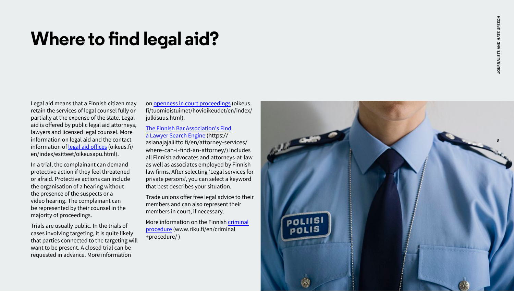## **Where to find legal aid?**

Legal aid means that a Finnish citizen may retain the services of legal counsel fully or partially at the expense of the state. Legal aid is offered by public legal aid attorneys, lawyers and licensed legal counsel. More information on legal aid and the contact information of [legal aid offices](www.oikeus.fi/en/index/esitteet/oikeusapu.html) (oikeus.fi/ en/index/esitteet/oikeusapu.html).

In a trial, the complainant can demand protective action if they feel threatened or afraid. Protective actions can include the organisation of a hearing without the presence of the suspects or a video hearing. The complainant can be represented by their counsel in the majority of proceedings.

Trials are usually public. In the trials of cases involving targeting, it is quite likely that parties connected to the targeting will want to be present. A closed trial can be requested in advance. More information

on [openness in court proceedings](www.oikeus.fi/tuomioistuimet/hovioikeudet/en/index/julkisuus.html) (oikeus. fi/tuomioistuimet/hovioikeudet/en/index/ julkisuus.html).

#### [The Finnish Bar Association's Find](https://asianajajaliitto.fi/en/attorney-services/where-can-i-find-an-attorney/)  [a Lawyer Search Engine](https://asianajajaliitto.fi/en/attorney-services/where-can-i-find-an-attorney/) (https:// asianajajaliitto.fi/en/attorney-services/

where-can-i-find-an-attorney/) includes all Finnish advocates and attorneys-at-law as well as associates employed by Finnish law firms. After selecting 'Legal services for private persons', you can select a keyword that best describes your situation.

Trade unions offer free legal advice to their members and can also represent their members in court, if necessary.

More information on the Finnish [criminal](www.riku.fi/en/criminal+procedure)  [procedure \(](www.riku.fi/en/criminal+procedure)www.riku.fi/en/criminal +procedure/ )

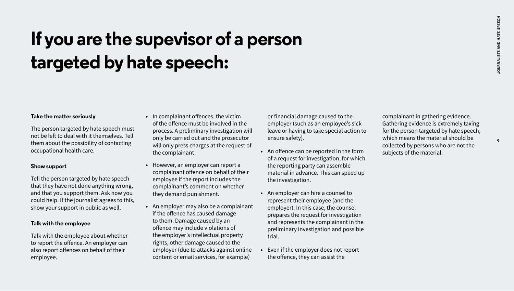# **If you are the supevisor of a person targeted by hate speech:**

#### **Take the matter seriously**

The person targeted by hate speech must not be left to deal with it themselves. Tell them about the possibility of contacting occupational health care.

#### **Show support**

Tell the person targeted by hate speech that they have not done anything wrong, and that you support them. Ask how you could help. If the journalist agrees to this, show your support in public as well.

#### **Talk with the employee**

Talk with the employee about whether to report the offence. An employer can also report offences on behalf of their employee.

- **•** In complainant offences, the victim of the offence must be involved in the process. A preliminary investigation will only be carried out and the prosecutor will only press charges at the request of the complainant.
- **•** However, an employer can report a complainant offence on behalf of their employee if the report includes the complainant's comment on whether they demand punishment.
- **•** An employer may also be a complainant if the offence has caused damage to them. Damage caused by an offence may include violations of the employer's intellectual property rights, other damage caused to the employer (due to attacks against online content or email services, for example)

or financial damage caused to the employer (such as an employee's sick leave or having to take special action to ensure safety).

- **•** An offence can be reported in the form of a request for investigation, for which the reporting party can assemble material in advance. This can speed up the investigation.
- **•** An employer can hire a counsel to represent their employee (and the employer). In this case, the counsel prepares the request for investigation and represents the complainant in the preliminary investigation and possible trial.
- **•** Even if the employer does not report the offence, they can assist the

complainant in gathering evidence. Gathering evidence is extremely taxing for the person targeted by hate speech, which means the material should be collected by persons who are not the subjects of the material.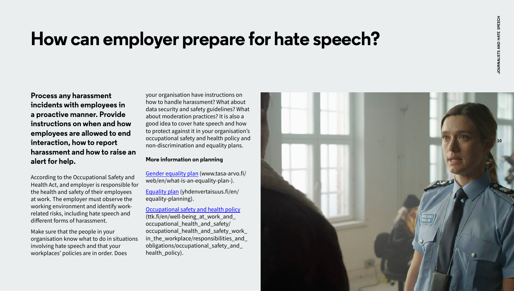## **How can employer prepare for hate speech?**

**Process any harassment incidents with employees in a proactive manner. Provide instructions on when and how employees are allowed to end interaction, how to report harassment and how to raise an alert for help.** 

According to the Occupational Safety and Health Act, and employer is responsible for the health and safety of their employees at work. The employer must observe the working environment and identify workrelated risks, including hate speech and different forms of harassment.

Make sure that the people in your organisation know what to do in situations involving hate speech and that your workplaces' policies are in order. Does

your organisation have instructions on how to handle harassment? What about data security and safety guidelines? What about moderation practices? It is also a good idea to cover hate speech and how to protect against it in your organisation's occupational safety and health policy and non-discrimination and equality plans.

#### **More information on planning**

[Gender equality plan](http://www.tasa-arvo.fi/web/en/what-is-an-equality-plan-) (www.tasa-arvo.fi/ web/en/what-is-an-equality-plan-).

[Equality plan \(](www.yhdenvertaisuus.fi/en/equality-planning)yhdenvertaisuus.fi/en/ equality-planning).

[Occupational safety and health policy](http://www.ttk.fi/en/well-being_at_work_and_occupational_health_and_safety/occupational_health_and_safety_work_in_the_workplace/responsibilities_and_obligations/occupational_safety_and_health_policy) (ttk.fi/en/well-being\_at\_work\_and\_ occupational\_health\_and\_safety/ occupational health and safety work in\_the\_workplace/responsibilities\_and\_ obligations/occupational\_safety\_and\_ health policy).